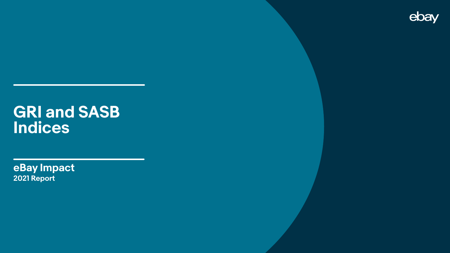# **GRI and SASB Indices**

**eBay Impact 2021 Report**

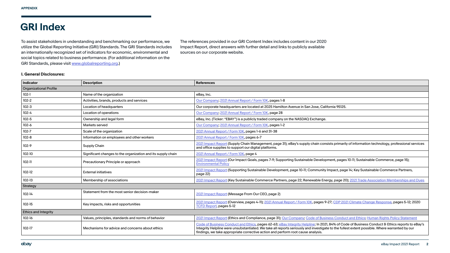### **GRI Index**

### **I. General Disclosures:**

To assist stakeholders in understanding and benchmarking our performance, we utilize the Global Reporting Initiative (GRI) Standards. The GRI Standards includes an internationally recognized set of indicators for economic, environmental and social topics related to business performance. (For additional information on the GRI Standards, please visit [www.globalreporting.org.](http://www.globalreporting.org))

The references provided in our GRI Content Index includes content in our 2020 Impact Report, direct answers with further detail and links to publicly available sources on our corporate website.

| <b>Indicator</b>              | <b>Description</b>                                           | <b>References</b>                                                                                                                                                                                                                                                                                                                                                           |  |
|-------------------------------|--------------------------------------------------------------|-----------------------------------------------------------------------------------------------------------------------------------------------------------------------------------------------------------------------------------------------------------------------------------------------------------------------------------------------------------------------------|--|
| <b>Organizational Profile</b> |                                                              |                                                                                                                                                                                                                                                                                                                                                                             |  |
| $102 - 1$                     | Name of the organization                                     | eBay, Inc.                                                                                                                                                                                                                                                                                                                                                                  |  |
| $102 - 2$                     | Activities, brands, products and services                    | Our Company; 2021 Annual Report / Form 10K, pages 1-8                                                                                                                                                                                                                                                                                                                       |  |
| $102-3$                       | Location of headquarters                                     | Our corporate headquarters are located at 2025 Hamilton Avenue in San Jose, California 95125.                                                                                                                                                                                                                                                                               |  |
| $102 - 4$                     | Location of operations                                       | Our Company; 2021 Annual Report / Form 10K, page 28                                                                                                                                                                                                                                                                                                                         |  |
| $102 - 5$                     | Ownership and legal form                                     | eBay, Inc. (Ticker: "EBAY") is a publicly traded company on the NASDAQ Exchange.                                                                                                                                                                                                                                                                                            |  |
| $102 - 6$                     | Markets served                                               | Our Company, 2021 Annual Report / Form 10K, pages 1-2                                                                                                                                                                                                                                                                                                                       |  |
| $102 - 7$                     | Scale of the organization                                    | 2021 Annual Report / Form 10K, pages 1-6 and 31-38                                                                                                                                                                                                                                                                                                                          |  |
| $102 - 8$                     | Information on employees and other workers                   | 2021 Annual Report / Form 10K, pages 6-7                                                                                                                                                                                                                                                                                                                                    |  |
| $102-9$                       | Supply Chain                                                 | 2021 Impact Report (Supply Chain Management, page 31); eBay's supply chain consists primarily of information technology, professional s<br>and office supplies to support our digital platforms.                                                                                                                                                                            |  |
| $102 - 10$                    | Significant changes to the organization and its supply chain | 2021 Annual Report / Form 10K, page 4                                                                                                                                                                                                                                                                                                                                       |  |
| $102 - 11$                    | Precautionary Principle or approach                          | 2021 Impact Report (Our Impact Goals, pages 7-9; Supporting Sustainable Development, pages 10-11; Sustainable Commerce, page 15);<br><b>Environmental Policy</b>                                                                                                                                                                                                            |  |
| $102-12$                      | <b>External initiatives</b>                                  | 2021 Impact Report (Supporting Sustainable Development, page 10-11; Community Impact, page 14; Key Sustainable Commerce Partners,<br>page 22)                                                                                                                                                                                                                               |  |
| $102-13$                      | Membership of associations                                   | 2021 Impact Report (Key Sustainable Commerce Partners, page 22; Renewable Energy, page 20); 2021 Trade Association Memberships an                                                                                                                                                                                                                                           |  |
| Strategy                      |                                                              |                                                                                                                                                                                                                                                                                                                                                                             |  |
| $102 - 14$                    | Statement from the most senior decision-maker                | 2021 Impact Report (Message From Our CEO, page 2)                                                                                                                                                                                                                                                                                                                           |  |
| $102-15$                      | Key impacts, risks and opportunities                         | 2021 Impact Report (Overview, pages 4-11); 2021 Annual Report / Form 10K, pages 9-27; CDP 2021 Climate Change Response, pages 5-12; 2<br><b>TCFD Report, pages 5-12</b>                                                                                                                                                                                                     |  |
| <b>Ethics and Integrity</b>   |                                                              |                                                                                                                                                                                                                                                                                                                                                                             |  |
| $102 - 16$                    | Values, principles, standards and norms of behavior          | 2021 Impact Report (Ethics and Compliance, page 31); Our Company; Code of Business Conduct and Ethics; Human Rights Policy Stateme                                                                                                                                                                                                                                          |  |
| 102-17                        | Mechanisms for advice and concerns about ethics              | Code of Business Conduct and Ethics, pages 62-63; eBay Integrity Helpline; In 2021, 84% of Code of Business Conduct & Ethics reports to<br>Integrity Helpline were unsubstantiated. We take all reports seriously and investigate to the fullest extent possible. Where warranted by ou<br>findings, we take appropriate corrective action and perform root cause analysis. |  |

f information technology, professional services

[2021 Trade Association Memberships and Dues](https://www.ebaymainstreet.com/sites/default/files/2022-03/yearend_2021_trade_associations.pdf)

2limate Change Response, pages 5-12; 2020

and Ethics; [Human Rights Policy Statement](https://www.ebayinc.com/company/human-rights-policy-statement/)

of Business Conduct & Ethics reports to eBay's extent possible. Where warranted by our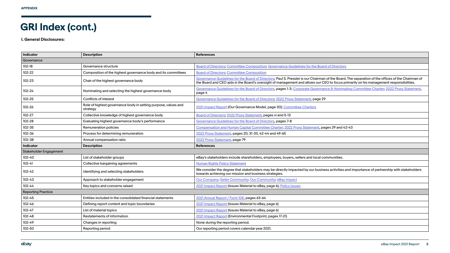### **GRI Index Index (cont.)**

**I. General Disclosures:**

| <b>Indicator</b>              | <b>Description</b>                                                         | <b>References</b>                                                                                                                                                                                                                                                                            |
|-------------------------------|----------------------------------------------------------------------------|----------------------------------------------------------------------------------------------------------------------------------------------------------------------------------------------------------------------------------------------------------------------------------------------|
| Governance                    |                                                                            |                                                                                                                                                                                                                                                                                              |
| $102-18$                      | Governance structure                                                       | Board of Directors: Committee Composition: Governance Guidelines for the Board of Directors                                                                                                                                                                                                  |
| $102 - 22$                    | Composition of the highest governance body and its committees              | <b>Board of Directors: Committee Composition</b>                                                                                                                                                                                                                                             |
| 102-23                        | Chair of the highest governance body                                       | Governance Guidelines for the Board of Directors; Paul S. Pressler is our Chairman of the Board. The separation of the offices of the Chairman of<br>the Board and CEO aids in the Board's oversight of management and allows our CEO to focus primarily on his management responsibilities. |
| $102 - 24$                    | Nominating and selecting the highest governance body                       | Governance Guidelines for the Board of Directors, pages 1-3; Corporate Governance & Nominating Committee Charter, 2022 Proxy Statement,<br>page 4                                                                                                                                            |
| 102-25                        | <b>Conflicts of interest</b>                                               | Governance Guidelines for the Board of Directors; 2022 Proxy Statement, page 29                                                                                                                                                                                                              |
| 102-26                        | Role of highest governance body in setting purpose, values and<br>strategy | 2021 Impact Report (Our Governance Model, page 30); Committee Charters                                                                                                                                                                                                                       |
| 102-27                        | Collective knowledge of highest governance body                            | Board of Directors; 2022 Proxy Statement, pages vi and 5-13                                                                                                                                                                                                                                  |
| 102-28                        | Evaluating highest governance body's performance                           | Governance Guidelines for the Board of Directors, pages 7-8                                                                                                                                                                                                                                  |
| 102-35                        | Remuneration policies                                                      | Compensation and Human Capital Committee Charter; 2022 Proxy Statement, pages 29 and 42-43                                                                                                                                                                                                   |
| 102-36                        | Process for determining remuneration                                       | 2022 Proxy Statement, pages 20, 31-33, 42-44 and 49-65                                                                                                                                                                                                                                       |
| 102-38                        | Annual compensation ratio                                                  | 2022 Proxy Statement, page 79                                                                                                                                                                                                                                                                |
| <b>Indicator</b>              | <b>Description</b>                                                         | <b>References</b>                                                                                                                                                                                                                                                                            |
| <b>Stakeholder Engagement</b> |                                                                            |                                                                                                                                                                                                                                                                                              |
| $102 - 40$                    | List of stakeholder groups                                                 | eBay's stakeholders include shareholders, employees, buyers, sellers and local communities.                                                                                                                                                                                                  |
| $102 - 41$                    | Collective bargaining agreements                                           | <b>Human Rights Policy Statement</b>                                                                                                                                                                                                                                                         |
| $102 - 42$                    | Identifying and selecting stakeholders                                     | We consider the degree that stakeholders may be directly impacted by our business activities and importance of partnership with stakeholders<br>towards achieving our mission and business strategies.                                                                                       |
| $102 - 43$                    | Approach to stakeholder engagement                                         | Our Company, Seller Community; Our Community; eBay Impact                                                                                                                                                                                                                                    |
| $102 - 44$                    | Key topics and concerns raised                                             | 2021 Impact Report (Issues Material to eBay, page 6); Policy Issues                                                                                                                                                                                                                          |
| <b>Reporting Practice</b>     |                                                                            |                                                                                                                                                                                                                                                                                              |
| $102 - 45$                    | Entities included in the consolidated financial statements                 | 2021 Annual Report / Form 10K, pages 63-64                                                                                                                                                                                                                                                   |
| $102 - 46$                    | Defining report content and topic boundaries                               | 2021 Impact Report (Issues Material to eBay, page 6)                                                                                                                                                                                                                                         |
| $102 - 47$                    | List of material topics                                                    | 2021 Impact Report (Issues Material to eBay, page 6)                                                                                                                                                                                                                                         |
| $102 - 48$                    | Restatements of information                                                | 2021 Impact Report (Environmental Footprint, pages 17-21)                                                                                                                                                                                                                                    |
| $102 - 49$                    | Changes in reporting                                                       | None during the reporting period.                                                                                                                                                                                                                                                            |
| 102-50                        | Reporting period                                                           | Our reporting period covers calendar year 2021.                                                                                                                                                                                                                                              |

| e separation of the offices of the Chairman of<br>arily on his management responsibilities. |
|---------------------------------------------------------------------------------------------|
| Committee Charter; 2022 Proxy Statement,                                                    |
|                                                                                             |
|                                                                                             |
|                                                                                             |
|                                                                                             |
| 3                                                                                           |
|                                                                                             |
|                                                                                             |
|                                                                                             |
|                                                                                             |
|                                                                                             |
|                                                                                             |
| importance of partnership with stakeholders                                                 |
|                                                                                             |
|                                                                                             |
|                                                                                             |
|                                                                                             |
|                                                                                             |
|                                                                                             |
|                                                                                             |
|                                                                                             |
|                                                                                             |
|                                                                                             |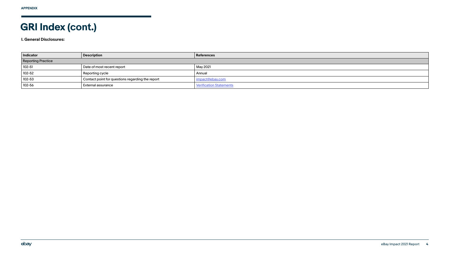### **GRI Index Index (cont.)**

**I. General Disclosures:**

| <b>Indicator</b>          | <b>Description</b>                               | <b>References</b>              |
|---------------------------|--------------------------------------------------|--------------------------------|
| <b>Reporting Practice</b> |                                                  |                                |
| $102 - 51$                | Date of most recent report                       | May 2021                       |
| 102-52                    | Reporting cycle                                  | Annual                         |
| 102-53                    | Contact point for questions regarding the report | impact@ebay.com                |
| 102-56                    | External assurance                               | <b>Verification Statements</b> |

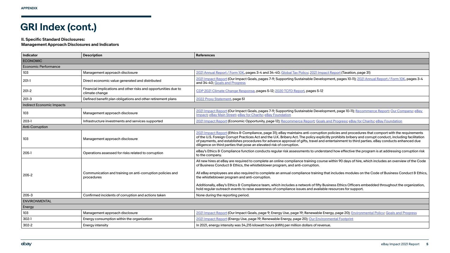### **II. Specific Standard Disclosures:**

### **Management Approach Disclosures and Indicators**

| <b>Indicator</b>                 | <b>Description</b>                                                                | <b>References</b>                                                                                                                                                                                                                                                                                                                                                                                                                                                                    |  |  |
|----------------------------------|-----------------------------------------------------------------------------------|--------------------------------------------------------------------------------------------------------------------------------------------------------------------------------------------------------------------------------------------------------------------------------------------------------------------------------------------------------------------------------------------------------------------------------------------------------------------------------------|--|--|
| <b>ECONOMIC</b>                  |                                                                                   |                                                                                                                                                                                                                                                                                                                                                                                                                                                                                      |  |  |
| <b>Economic Performance</b>      |                                                                                   |                                                                                                                                                                                                                                                                                                                                                                                                                                                                                      |  |  |
| 103                              | Management approach disclosure                                                    | 2021 Annual Report / Form 10K, pages 3-4 and 34-40; Global Tax Policy; 2021 Impact Report (Taxation, page 31)                                                                                                                                                                                                                                                                                                                                                                        |  |  |
| $201-1$                          | Direct economic value generated and distributed                                   | 2021 Impact Report (Our Impact Goals, pages 7-9; Supporting Sustainable Development, pages 10-11); 2021 Anr<br>and 34-40; Goals and Progress                                                                                                                                                                                                                                                                                                                                         |  |  |
| $201-2$                          | Financial implications and other risks and opportunities due to<br>climate change | CDP 2021 Climate Change Response, pages 5-12; 2020 TCFD Report, pages 5-12                                                                                                                                                                                                                                                                                                                                                                                                           |  |  |
| $201-3$                          | Defined benefit plan obligations and other retirement plans                       | 2022 Proxy Statement, page 51                                                                                                                                                                                                                                                                                                                                                                                                                                                        |  |  |
| <b>Indirect Economic Impacts</b> |                                                                                   |                                                                                                                                                                                                                                                                                                                                                                                                                                                                                      |  |  |
| 103                              | Management approach disclosure                                                    | 2021 Impact Report (Our Impact Goals, pages 7-9; Supporting Sustainable Development, page 10-11); Recomm<br>Impact, eBay Main Street; eBay for Charity, eBay Foundation                                                                                                                                                                                                                                                                                                              |  |  |
| $203-1$                          | Infrastructure investments and services supported                                 | 2021 Impact Report (Economic Opportunity, page 12); Recommerce Report; Goals and Progress; eBay for Char                                                                                                                                                                                                                                                                                                                                                                             |  |  |
| <b>Anti-Corruption</b>           |                                                                                   |                                                                                                                                                                                                                                                                                                                                                                                                                                                                                      |  |  |
| 103                              | Management approach disclosure                                                    | 2021 Impact Report (Ethics & Compliance, page 31); eBay maintains anti-corruption policies and procedures th<br>of the U.S. Foreign Corrupt Practices Act and the U.K. Bribery Act. The policy explicitly prohibits bribery and cor<br>of payments, and establishes procedures for advance approval of gifts, travel and entertainment to third partie<br>diligence on third parties that pose an elevated risk of corruption.                                                       |  |  |
| $205-1$                          | Operations assessed for risks related to corruption                               | eBay's Ethics & Compliance function conducts regular risk assessments to understand how effective the progr<br>to the company.                                                                                                                                                                                                                                                                                                                                                       |  |  |
| 205-2                            | Communication and training on anti-corruption policies and<br>procedures          | All new hires at eBay are required to complete an online compliance training course within 90 days of hire, whic<br>of Business Conduct & Ethics, the whistleblower program, and anti-corruption.<br>All eBay employees are also required to complete an annual compliance training that includes modules on the<br>the whistleblower program and anti-corruption.<br>Additionally, eBay's Ethics & Compliance team, which includes a network of fifty Business Ethics Officers embe |  |  |
|                                  |                                                                                   | hold regular outreach events to raise awareness of compliance issues and available resources for support.                                                                                                                                                                                                                                                                                                                                                                            |  |  |
| $205 - 3$                        | Confirmed incidents of corruption and actions taken                               | None during the reporting period.                                                                                                                                                                                                                                                                                                                                                                                                                                                    |  |  |
| <b>ENVIRONMENTAL</b>             |                                                                                   |                                                                                                                                                                                                                                                                                                                                                                                                                                                                                      |  |  |
| Energy                           |                                                                                   |                                                                                                                                                                                                                                                                                                                                                                                                                                                                                      |  |  |
| 103                              | Management approach disclosure                                                    | 2021 Impact Report (Our Impact Goals, page 9; Energy Use, page 19; Renewable Energy, page 20); Environment                                                                                                                                                                                                                                                                                                                                                                           |  |  |
| $302 - 1$                        | Energy consumption within the organization                                        | 2021 Impact Report (Energy Use, page 19; Renewable Energy, page 20); Our Environmental Footprint                                                                                                                                                                                                                                                                                                                                                                                     |  |  |
| $302 - 2$                        | <b>Energy intensity</b>                                                           | In 2021, energy intensity was 34,215 kilowatt hours (kWh) per million dollars of revenue.                                                                                                                                                                                                                                                                                                                                                                                            |  |  |

-11); [2021 Annual Report / Form 10K,](https://ebay.q4cdn.com/610426115/files/doc_financials/2021/ar/2021-Annual-Report-(1).pdf) pages 3-4

1); [Recommerce Report](https://static.ebayinc.com/assets/Uploads/Documents/eBay-Recommerce-Report-2021.pdf); [Our Company;](https://www.ebayinc.com/company/) eBay

203-1 Bay for Charity; [eBay Foundation](https://www.ebayinc.com/impact/ebay-foundation/)

ocedures that comport with the requirements ery and corrupt conduct, including facilitation third parties. eBay conducts enhanced due

ve the program is at addressing corruption risk

 $\mathbf s$  of hire, which includes an overview of the Code

dules on the Code of Business Conduct & Ethics,

ficers embedded throughout the organization,

**[Environmental Policy](https://static.ebayinc.com/assets/Uploads/Documents/eBay-Environmental-Policy.pdf); [Goals and Progress](https://www.ebayinc.com/impact/responsible-business/goals-progress/)**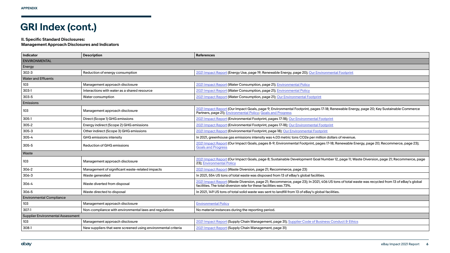#### **II. Specific Standard Disclosures:**

#### **Management Approach Disclosures and Indicators**

| <b>Indicator</b>                         | <b>Description</b>                                            | <b>References</b>                                                                                                                                                                                                   |
|------------------------------------------|---------------------------------------------------------------|---------------------------------------------------------------------------------------------------------------------------------------------------------------------------------------------------------------------|
| <b>ENVIRONMENTAL</b>                     |                                                               |                                                                                                                                                                                                                     |
| Energy                                   |                                                               |                                                                                                                                                                                                                     |
| $302 - 3$                                | Reduction of energy consumption                               | 2021 Impact Report (Energy Use, page 19; Renewable Energy, page 20); Our Environmental Footprint                                                                                                                    |
| <b>Water and Effluents</b>               |                                                               |                                                                                                                                                                                                                     |
| 103                                      | Management approach disclosure                                | 2021 Impact Report (Water Consumption, page 21); Environmental Policy                                                                                                                                               |
| $303-1$                                  | Interactions with water as a shared resource                  | 2021 Impact Report (Water Consumption, page 21); Environmental Policy                                                                                                                                               |
| 303-5                                    | Water consumption                                             | 2021 Impact Report (Water Consumption, page 21); Our Environmental Footprint                                                                                                                                        |
| Emissions                                |                                                               |                                                                                                                                                                                                                     |
| 103                                      | Management approach disclosure                                | 2021 Impact Report (Our Impact Goals, page 9; Environmental Footprint, pages 17-18; Renewable Energy, page 20; Key Sustainable Commerce<br>Partners, page 21); Environmental Policy; Goals and Progress             |
| $305-1$                                  | Direct (Scope 1) GHG emissions                                | 2021 Impact Report (Environmental Footprint, pages 17-18); Our Environmental Footprint                                                                                                                              |
| $305 - 2$                                | Energy indirect (Scope 2) GHG emissions                       | 2021 Impact Report (Environmental Footprint, pages 17-18); Our Environmental Footprint                                                                                                                              |
| $305 - 3$                                | Other indirect (Scope 3) GHG emissions                        | 2021 Impact Report (Environmental Footprint, page 18); Our Environmental Footprint                                                                                                                                  |
| 305-4                                    | GHG emissions intensity                                       | In 2021, greenhouse gas emissions intensity was 4.03 metric tons CO2e per million dollars of revenue.                                                                                                               |
| 305-5                                    | <b>Reduction of GHG emissions</b>                             | 2021 Impact Report (Our Impact Goals, pages 8-9; Environmental Footprint, pages 17-18; Renewable Energy, page 20; Recommerce, page 23);<br><b>Goals and Progress</b>                                                |
| Waste                                    |                                                               |                                                                                                                                                                                                                     |
| 103                                      | Management approach disclosure                                | 2021 Impact Report (Our Impact Goals, page 8; Sustainable Development Goal Number 12, page 11; Waste Diversion, page 21; Recommerce, page<br>23); Environmental Policy                                              |
| 306-2                                    | Management of significant waste-related impacts               | 2021 Impact Report (Waste Diversion, page 21; Recommerce, page 23)                                                                                                                                                  |
| $306 - 3$                                | Waste generated                                               | In 2021, 554 US tons of total waste was disposed from 13 of eBay's global facilities.                                                                                                                               |
| 306-4                                    | Waste diverted from disposal                                  | 2021 Impact Report (Waste Diversion, page 21; Recommerce, page 23); In 2021, 406 US tons of total waste was recycled from 13 of eBay's global<br>facilities. The total diversion rate for these facilities was 73%. |
| 306-5                                    | Waste directed to disposal                                    | In 2021, 149 US tons of total solid waste was sent to landfill from 13 of eBay's global facilities.                                                                                                                 |
| <b>Environmental Compliance</b>          |                                                               |                                                                                                                                                                                                                     |
| 103                                      | Management approach disclosure                                | <b>Environmental Policy</b>                                                                                                                                                                                         |
| 307-1                                    | Non-compliance with environmental laws and regulations        | No material instances during the reporting period.                                                                                                                                                                  |
| <b>Supplier Environmental Assessment</b> |                                                               |                                                                                                                                                                                                                     |
| 103                                      | Management approach disclosure                                | 2021 Impact Report (Supply Chain Management, page 31); Supplier Code of Business Conduct & Ethics                                                                                                                   |
| 308-1                                    | New suppliers that were screened using environmental criteria | 2021 Impact Report (Supply Chain Management, page 31)                                                                                                                                                               |

| ıt                                            |
|-----------------------------------------------|
|                                               |
|                                               |
|                                               |
|                                               |
|                                               |
|                                               |
| ergy, page 20; Key Sustainable Commerce       |
|                                               |
|                                               |
|                                               |
|                                               |
| ∪e.                                           |
| e Energy, page 20; Recommerce, page 23);      |
|                                               |
| Waste Diversion, page 21; Recommerce, page    |
|                                               |
|                                               |
| I waste was recycled from 13 of eBay's global |
|                                               |
|                                               |
|                                               |
|                                               |
|                                               |
|                                               |
|                                               |
| hics                                          |
|                                               |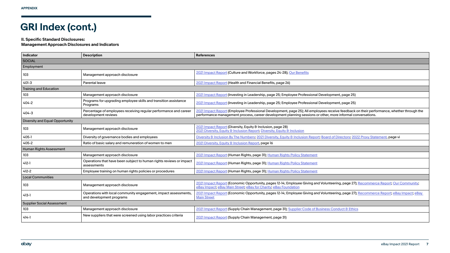#### **II. Specific Standard Disclosures:**

**Management Approach Disclosures and Indicators**

| Indicator                              | <b>Description</b>                                                                          | <b>References</b>                                                                                                                                                                                                                                        |  |
|----------------------------------------|---------------------------------------------------------------------------------------------|----------------------------------------------------------------------------------------------------------------------------------------------------------------------------------------------------------------------------------------------------------|--|
| <b>SOCIAL</b>                          |                                                                                             |                                                                                                                                                                                                                                                          |  |
| Employment                             |                                                                                             |                                                                                                                                                                                                                                                          |  |
| 103                                    | Management approach disclosure                                                              | 2021 Impact Report (Culture and Workforce, pages 24-28); Our Benefits                                                                                                                                                                                    |  |
| 401-3                                  | Parental leave                                                                              | 2021 Impact Report (Health and Financial Benefits, page 26)                                                                                                                                                                                              |  |
| <b>Training and Education</b>          |                                                                                             |                                                                                                                                                                                                                                                          |  |
| 103                                    | Management approach disclosure                                                              | 2021 Impact Report (Investing in Leadership, page 25; Employee Professional Development, page 25)                                                                                                                                                        |  |
| $404 - 2$                              | Programs for upgrading employee skills and transition assistance<br>Programs                | 2021 Impact Report (Investing in Leadership, page 25; Employee Professional Development, page 25)                                                                                                                                                        |  |
| 404-3                                  | Percentage of employees receiving regular performance and career<br>development reviews     | 2021 Impact Report (Employee Professional Development, page 25); All employees receive feedback on their performance, whether through the<br>performance management process, career development planning sessions or other, more informal conversations. |  |
| <b>Diversity and Equal Opportunity</b> |                                                                                             |                                                                                                                                                                                                                                                          |  |
| 103                                    | Management approach disclosure                                                              | 2021 Impact Report (Diversity, Equity & Inclusion, page 28)<br>2021 Diversity, Equity & Inclusion Report; Diversity, Equity & Inclusion                                                                                                                  |  |
| $405-1$                                | Diversity of governance bodies and employees                                                | Diversity & Inclusion By The Numbers; 2021 Diversity, Equity & Inclusion Report; Board of Directors; 2022 Proxy Statement, page vi                                                                                                                       |  |
| 405-2                                  | Ratio of basic salary and remuneration of women to men                                      | 2021 Diversity, Equity & Inclusion Report, page 16                                                                                                                                                                                                       |  |
| <b>Human Rights Assessment</b>         |                                                                                             |                                                                                                                                                                                                                                                          |  |
| 103                                    | Management approach disclosure                                                              | 2021 Impact Report (Human Rights, page 31); Human Rights Policy Statement                                                                                                                                                                                |  |
| $412 - 1$                              | Operations that have been subject to human rights reviews or impact<br>assessments          | 2021 Impact Report (Human Rights, page 31); Human Rights Policy Statement                                                                                                                                                                                |  |
| $412 - 2$                              | Employee training on human rights policies or procedures                                    | 2021 Impact Report (Human Rights, page 31); Human Rights Policy Statement                                                                                                                                                                                |  |
| <b>Local Communities</b>               |                                                                                             |                                                                                                                                                                                                                                                          |  |
| 103                                    | Management approach disclosure                                                              | 2021 Impact Report (Economic Opportunity, pages 12-14; Employee Giving and Volunteering, page 27); Recommerce Report; Our Community;<br>eBay Impact; eBay Main Street; eBay for Charity; eBay Foundation                                                 |  |
| $413-1$                                | Operations with local community engagement, impact assessments,<br>and development programs | 2021 Impact Report (Economic Opportunity, pages 12-14; Employee Giving and Volunteering, page 27); Recommerce Report, eBay Impact; eBay<br><b>Main Street</b>                                                                                            |  |
| Supplier Social Assessment             |                                                                                             |                                                                                                                                                                                                                                                          |  |
| 103                                    | Management approach disclosure                                                              | 2021 Impact Report (Supply Chain Management, page 31); Supplier Code of Business Conduct & Ethics                                                                                                                                                        |  |
| $414-1$                                | New suppliers that were screened using labor practices criteria                             | 2021 Impact Report (Supply Chain Management, page 31)                                                                                                                                                                                                    |  |

| 25)                                                            |
|----------------------------------------------------------------|
| 25)                                                            |
| ck on their performance, whether through the<br>conversations. |
|                                                                |
|                                                                |
| 2022 Proxy Statement, page vi                                  |
|                                                                |
|                                                                |
|                                                                |
|                                                                |
|                                                                |
|                                                                |
| 27); Recommerce Report; Our Community;                         |
| 27); <u>Recommerce Report</u> ; <u>eBay Impact; eBay</u>       |
|                                                                |
| <u>hics</u>                                                    |
|                                                                |
|                                                                |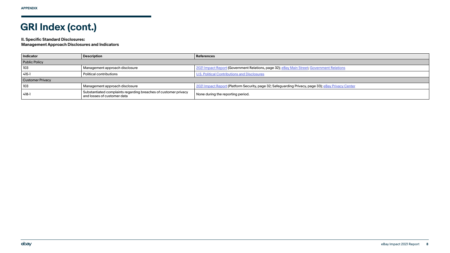#### **II. Specific Standard Disclosures:**

**Management Approach Disclosures and Indicators**

| <b>Indicator</b>        | <b>Description</b>                                                                             | <b>References</b>                                                                                   |
|-------------------------|------------------------------------------------------------------------------------------------|-----------------------------------------------------------------------------------------------------|
| <b>Public Policy</b>    |                                                                                                |                                                                                                     |
| 103                     | Management approach disclosure                                                                 | 2021 Impact Report (Government Relations, page 32); eBay Main Street; Government Relations          |
| $415-1$                 | <b>Political contributions</b>                                                                 | <b>U.S. Political Contributions and Disclosures</b>                                                 |
| <b>Customer Privacy</b> |                                                                                                |                                                                                                     |
| 103                     | Management approach disclosure                                                                 | 2021 Impact Report (Platform Security, page 32; Safeguarding Privacy, page 33); eBay Privacy Center |
| $418-1$                 | Substantiated complaints regarding breaches of customer privacy<br>and losses of customer data | None during the reporting period.                                                                   |

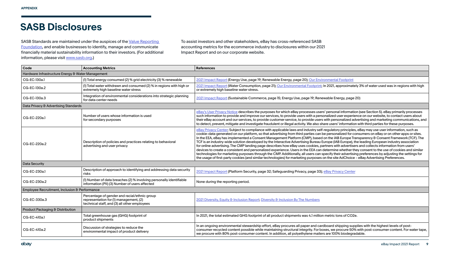### **SASB Disclosures**

SASB Standards are maintained under the auspices of the Value Reporting [Foundation,](https://www.valuereportingfoundation.org/) and enable businesses to identify, manage and communicate financially material sustainability information to their investors. (For additional information, please visit [www.sasb.org.](http://www.sasb.org))

To assist investors and other stakeholders, eBay has cross-referenced SASB accounting metrics for the ecommerce industry to disclosures within our 2021 Impact Report and on our corporate website.

| Code                                              | <b>Accounting Metrics</b>                                                                                                              | <b>References</b>                                                                                                                                                                                                                                                                                                                                                                                                                                                                                                                                                                                                                                                                                                                                                                                                                                                                                                            |
|---------------------------------------------------|----------------------------------------------------------------------------------------------------------------------------------------|------------------------------------------------------------------------------------------------------------------------------------------------------------------------------------------------------------------------------------------------------------------------------------------------------------------------------------------------------------------------------------------------------------------------------------------------------------------------------------------------------------------------------------------------------------------------------------------------------------------------------------------------------------------------------------------------------------------------------------------------------------------------------------------------------------------------------------------------------------------------------------------------------------------------------|
| Hardware Infrastructure Energy & Water Management |                                                                                                                                        |                                                                                                                                                                                                                                                                                                                                                                                                                                                                                                                                                                                                                                                                                                                                                                                                                                                                                                                              |
| CG-EC-130a.1                                      | (1) Total energy consumed (2) % grid electricity (3) % renewable                                                                       | 2021 Impact Report (Energy Use, page 19; Renewable Energy, page 20); Our Environmental Footprint                                                                                                                                                                                                                                                                                                                                                                                                                                                                                                                                                                                                                                                                                                                                                                                                                             |
| CG-EC-130a.2                                      | (I) Total water withdrawn and consumed (2) % in regions with high or<br>extremely high baseline water stress                           | 2021 Impact Report (Water Consumption, page 21); Our Environmental Footprint; In 2021, approximately 3%<br>or extremely high baseline water stress.                                                                                                                                                                                                                                                                                                                                                                                                                                                                                                                                                                                                                                                                                                                                                                          |
| CG-EC-130a.3                                      | Integration of environmental considerations into strategic planning<br>for data center needs                                           | 2021 Impact Report (Sustainable Commerce, page 15; Energy Use, page 19; Renewable Energy, page 20)                                                                                                                                                                                                                                                                                                                                                                                                                                                                                                                                                                                                                                                                                                                                                                                                                           |
| Data Privacy & Advertising Standards              |                                                                                                                                        |                                                                                                                                                                                                                                                                                                                                                                                                                                                                                                                                                                                                                                                                                                                                                                                                                                                                                                                              |
| CG-EC-220a.1                                      | Number of users whose information is used<br>for secondary purposes                                                                    | eBay's User Privacy Notice describes the purposes for which eBay processes users' personal information (see<br>such information to provide and improve our services, to provide users with a personalized user experience or<br>their eBay account and our services, to provide customer service, to provide users with personalized advertisi<br>to detect, prevent, mitigate and investigate fraudulent or illegal activity. We also share users' information with t                                                                                                                                                                                                                                                                                                                                                                                                                                                       |
| CG-EC-220a.2                                      | Description of policies and practices relating to behavioral<br>advertising and user privacy                                           | eBay Privacy Center; Subject to compliance with applicable laws and industry self-regulatory principles, eBay<br>cookie-data generated on our platform, so that advertising from third parties can be personalized for consum<br>In the EEA, eBay has implemented a Consent Management Platform (CMP), based on the IAB Europe Transpar<br>TCF is an industry-wide solution developed by the Interactive Advertising Bureau Europe (IAB Europe), the lead<br>for online advertising. The CMP landing page describes how eBay uses cookies, partners with advertisers and<br>devices to create a consistent and personalized experience. Users in the EEA can determine whether they cor<br>technologies for marketing purposes through the CMP. Additionally, all users can specify their advertising pret<br>the usage of first-party cookies (and similar technologies) for marketing purposes on the site AdChoice - eBay |
| <b>Data Security</b>                              |                                                                                                                                        |                                                                                                                                                                                                                                                                                                                                                                                                                                                                                                                                                                                                                                                                                                                                                                                                                                                                                                                              |
| CG-EC-230a.1                                      | Description of approach to identifying and addressing data security<br>risks                                                           | 2021 Impact Report (Platform Security, page 32; Safeguarding Privacy, page 33); eBay Privacy Center                                                                                                                                                                                                                                                                                                                                                                                                                                                                                                                                                                                                                                                                                                                                                                                                                          |
| CG-EC-230a.2                                      | (I) Number of data breaches (2) % involving personally identifiable<br>information (PII) (3) Number of users affected                  | None during the reporting period.                                                                                                                                                                                                                                                                                                                                                                                                                                                                                                                                                                                                                                                                                                                                                                                                                                                                                            |
| Employee Recruitment, Inclusion & Performance     |                                                                                                                                        |                                                                                                                                                                                                                                                                                                                                                                                                                                                                                                                                                                                                                                                                                                                                                                                                                                                                                                                              |
| CG-EC-330a.3                                      | Percentage of gender and racial/ethnic group<br>representation for (1) management, (2)<br>technical staff, and (3) all other employees | 2021 Diversity, Equity & Inclusion Report, Diversity & Inclusion By The Numbers                                                                                                                                                                                                                                                                                                                                                                                                                                                                                                                                                                                                                                                                                                                                                                                                                                              |
| Product Packaging & Distribution                  |                                                                                                                                        |                                                                                                                                                                                                                                                                                                                                                                                                                                                                                                                                                                                                                                                                                                                                                                                                                                                                                                                              |
| CG-EC-410a.1                                      | Total greenhouse gas (GHG) footprint of<br>product shipments                                                                           | In 2021, the total estimated GHG footprint of all product shipments was 4.1 million metric tons of CO2e.                                                                                                                                                                                                                                                                                                                                                                                                                                                                                                                                                                                                                                                                                                                                                                                                                     |
| CG-EC-410a.2                                      | Discussion of strategies to reduce the<br>environmental impact of product delivery                                                     | In an ongoing environmental stewardship effort, eBay procures all paper and cardboard shipping supplies v<br>consumer recycled content possible while maintaining structural integrity. For boxes, we procure 50% with possible white<br>we procure with 80% post-consumer content. In addition, all polyethylene mailers are 100% biodegradable.                                                                                                                                                                                                                                                                                                                                                                                                                                                                                                                                                                            |

ately 3% of water used was in regions with high

ation (see Section 5). eBay primarily processes erience on our website, to contact users about I advertising and marketing communications, and tion with third parties for these purposes.

 $b$ les, eBay may use user information, such as consumers on eBay or on other apps or sites. Transparency & Consent Framework (TCF). The ), the leading European industry association isers and collects information from users' they consent to the use of cookies and similar ising preferences by adjusting the settings for ice - eBay Advertising Preferences.

supplies with the highest levels of post-50% with post-consumer content. For water tape<mark>,</mark><br>gradable.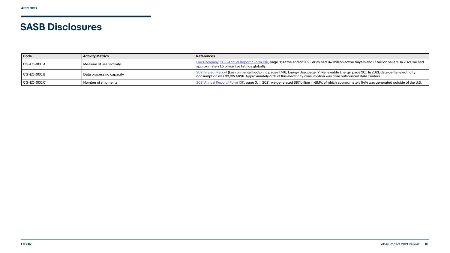### **SASB Disclosures**

| Code        | <b>Activity Metrics</b>  | <b>References</b>                                                                                                                                                                                 |
|-------------|--------------------------|---------------------------------------------------------------------------------------------------------------------------------------------------------------------------------------------------|
| CG-EC-000.A | Measure of user activity | Our Company; 2021 Annual Report / Form 10K, page 3; At the end of 2021, eBay had 147 million activ<br>approximately 1.5 billion live listings globally.                                           |
| CG-EC-000.B | Data processing capacity | 2021 Impact Report (Environmental Footprint, pages 17-18; Energy Use, page 19; Renewable Energy,<br>consumption was 33,019 MWh. Approximately 65% of this electricity consumption was from outsou |
| CG-EC-000.C | Number of shipments      | 2021 Annual Report / Form 10K, page 3; In 2021, we generated \$87 billion in GMV, of which approxin                                                                                               |

ive buyers and 17 million sellers. In 2021, we had

, page 20); In 2021, data center electricity  $\frac{3}{2}$  where  $\frac{3}{2}$  data centers.

mately 54% was generated outside of the U.S.